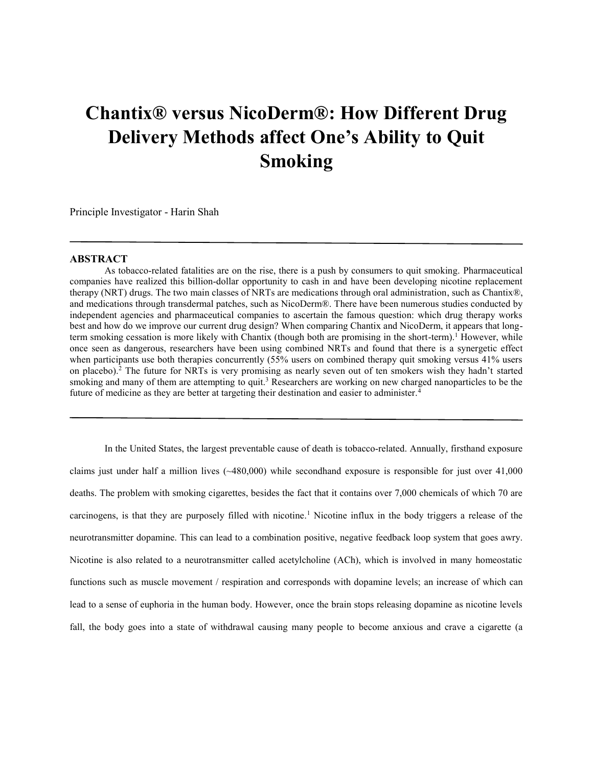## **Chantix® versus NicoDerm®: How Different Drug Delivery Methods affect One's Ability to Quit Smoking**

Principle Investigator - Harin Shah

## **ABSTRACT**

As tobacco-related fatalities are on the rise, there is a push by consumers to quit smoking. Pharmaceutical companies have realized this billion-dollar opportunity to cash in and have been developing nicotine replacement therapy (NRT) drugs. The two main classes of NRTs are medications through oral administration, such as Chantix®, and medications through transdermal patches, such as NicoDerm®. There have been numerous studies conducted by independent agencies and pharmaceutical companies to ascertain the famous question: which drug therapy works best and how do we improve our current drug design? When comparing Chantix and NicoDerm, it appears that longterm smoking cessation is more likely with Chantix (though both are promising in the short-term).<sup>1</sup> However, while once seen as dangerous, researchers have been using combined NRTs and found that there is a synergetic effect when participants use both therapies concurrently (55% users on combined therapy quit smoking versus 41% users on placebo).<sup>2</sup> The future for NRTs is very promising as nearly seven out of ten smokers wish they hadn't started smoking and many of them are attempting to quit.<sup>3</sup> Researchers are working on new charged nanoparticles to be the future of medicine as they are better at targeting their destination and easier to administer.<sup>4</sup>

In the United States, the largest preventable cause of death is tobacco-related. Annually, firsthand exposure claims just under half a million lives  $(\sim 480,000)$  while secondhand exposure is responsible for just over 41,000 deaths. The problem with smoking cigarettes, besides the fact that it contains over 7,000 chemicals of which 70 are carcinogens, is that they are purposely filled with nicotine.<sup>1</sup> Nicotine influx in the body triggers a release of the neurotransmitter dopamine. This can lead to a combination positive, negative feedback loop system that goes awry. Nicotine is also related to a neurotransmitter called acetylcholine (ACh), which is involved in many homeostatic functions such as muscle movement / respiration and corresponds with dopamine levels; an increase of which can lead to a sense of euphoria in the human body. However, once the brain stops releasing dopamine as nicotine levels fall, the body goes into a state of withdrawal causing many people to become anxious and crave a cigarette (a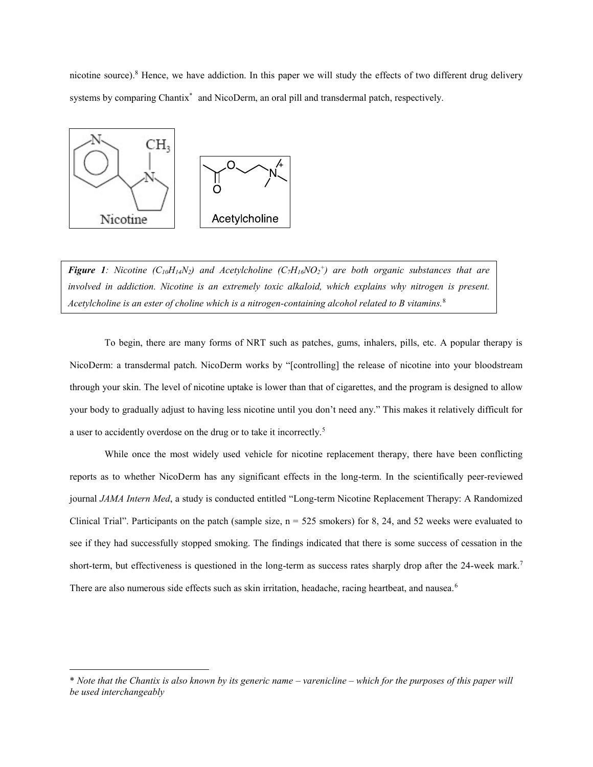nicotine source).<sup>8</sup> Hence, we have addiction. In this paper we will study the effects of two different drug delivery systems by comparing Chantix<sup>\*</sup> and NicoDerm, an oral pill and transdermal patch, respectively.



 $\overline{\phantom{a}}$ 

*Figure 1: Nicotine*  $(C_{10}H_{14}N_2)$  and Acetylcholine  $(C_7H_{16}NO_2^+)$  are both organic substances that are *involved in addiction. Nicotine is an extremely toxic alkaloid, which explains why nitrogen is present. Acetylcholine is an ester of choline which is a nitrogen-containing alcohol related to B vitamins.*8

To begin, there are many forms of NRT such as patches, gums, inhalers, pills, etc. A popular therapy is NicoDerm: a transdermal patch. NicoDerm works by "[controlling] the release of nicotine into your bloodstream through your skin. The level of nicotine uptake is lower than that of cigarettes, and the program is designed to allow your body to gradually adjust to having less nicotine until you don't need any." This makes it relatively difficult for a user to accidently overdose on the drug or to take it incorrectly.<sup>5</sup>

While once the most widely used vehicle for nicotine replacement therapy, there have been conflicting reports as to whether NicoDerm has any significant effects in the long-term. In the scientifically peer-reviewed journal *JAMA Intern Med*, a study is conducted entitled "Long-term Nicotine Replacement Therapy: A Randomized Clinical Trial". Participants on the patch (sample size,  $n = 525$  smokers) for 8, 24, and 52 weeks were evaluated to see if they had successfully stopped smoking. The findings indicated that there is some success of cessation in the short-term, but effectiveness is questioned in the long-term as success rates sharply drop after the 24-week mark.<sup>7</sup> There are also numerous side effects such as skin irritation, headache, racing heartbeat, and nausea.<sup>6</sup>

<sup>\*</sup> *Note that the Chantix is also known by its generic name – varenicline – which for the purposes of this paper will be used interchangeably*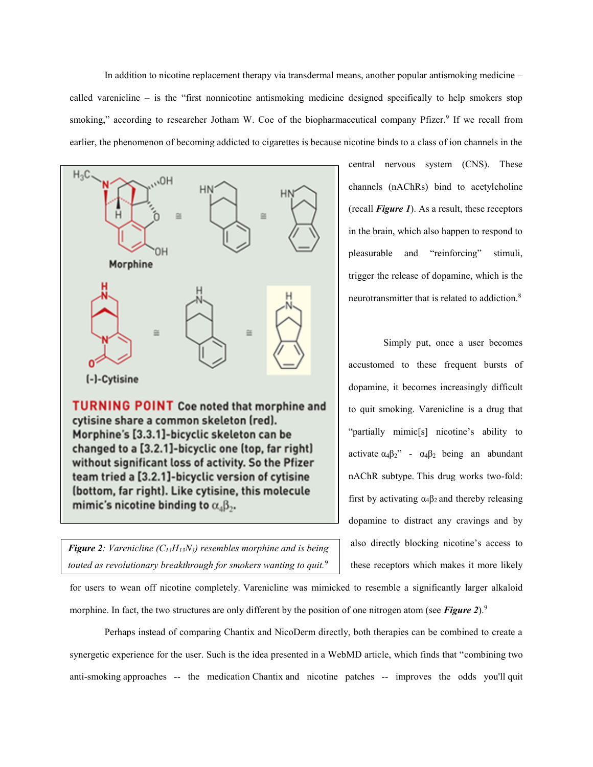In addition to nicotine replacement therapy via transdermal means, another popular antismoking medicine – called varenicline – is the "first nonnicotine antismoking medicine designed specifically to help smokers stop smoking," according to researcher Jotham W. Coe of the biopharmaceutical company Pfizer.<sup>9</sup> If we recall from earlier, the phenomenon of becoming addicted to cigarettes is because nicotine binds to a class of ion channels in the



cytisine share a common skeleton (red). Morphine's [3.3.1]-bicyclic skeleton can be changed to a [3.2.1]-bicyclic one (top, far right) without significant loss of activity. So the Pfizer team tried a [3.2.1]-bicyclic version of cytisine (bottom, far right). Like cytisine, this molecule mimic's nicotine binding to  $\alpha_4\beta_2$ .

*Figure 2: Varenicline (C13H13N3) resembles morphine and is being touted as revolutionary breakthrough for smokers wanting to quit.*9

central nervous system (CNS). These channels (nAChRs) bind to acetylcholine (recall *Figure 1*). As a result, these receptors in the brain, which also happen to respond to pleasurable and "reinforcing" stimuli, trigger the release of dopamine, which is the neurotransmitter that is related to addiction.<sup>8</sup>

Simply put, once a user becomes accustomed to these frequent bursts of dopamine, it becomes increasingly difficult to quit smoking. Varenicline is a drug that "partially mimic[s] nicotine's ability to activate  $\alpha_4\beta_2$ " -  $\alpha_4\beta_2$  being an abundant nAChR subtype. This drug works two-fold: first by activating  $\alpha_4\beta_2$  and thereby releasing dopamine to distract any cravings and by also directly blocking nicotine's access to these receptors which makes it more likely

for users to wean off nicotine completely. Varenicline was mimicked to resemble a significantly larger alkaloid morphine. In fact, the two structures are only different by the position of one nitrogen atom (see *Figure 2*).<sup>9</sup>

Perhaps instead of comparing Chantix and NicoDerm directly, both therapies can be combined to create a synergetic experience for the user. Such is the idea presented in a WebMD article, which finds that "combining two anti[-smoking](http://www.webmd.com/smoking-cessation/quit-smoking-11/rm-quiz-stop-smoking) approaches -- the medication [Chantix](http://www.webmd.com/drugs/2/drug-144470/chantix+oral/details) and nicotine patches -- improves the odds you'll [quit](http://www.webmd.com/smoking-cessation/ss/slideshow-13-best-quit-smoking-tips-ever)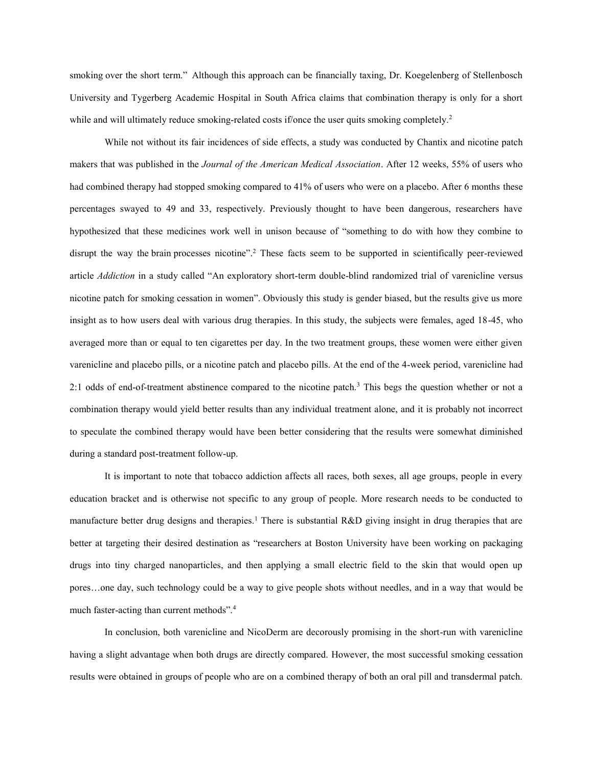[smoking](http://www.webmd.com/smoking-cessation/ss/slideshow-13-best-quit-smoking-tips-ever) over the short term." Although this approach can be financially taxing, Dr. Koegelenberg of Stellenbosch University and Tygerberg Academic Hospital in South Africa claims that combination therapy is only for a short while and will ultimately reduce smoking-related costs if/once the user quits smoking completely.<sup>2</sup>

While not without its fair incidences of side effects, a study was conducted by Chantix and nicotine patch makers that was published in the *Journal of the American Medical Association*. After 12 weeks, 55% of users who had combined therapy had stopped smoking compared to 41% of users who were on a placebo. After 6 months these percentages swayed to 49 and 33, respectively. Previously thought to have been dangerous, researchers have hypothesized that these medicines work well in unison because of "something to do with how they combine to disrupt the way the [brain](http://www.webmd.com/brain/ss/slideshow-concussions-brain-injuries) processes nicotine".<sup>2</sup> These facts seem to be supported in scientifically peer-reviewed article *Addiction* in a study called "An exploratory short-term double-blind randomized trial of varenicline versus nicotine patch for smoking cessation in women". Obviously this study is gender biased, but the results give us more insight as to how users deal with various drug therapies. In this study, the subjects were females, aged 18-45, who averaged more than or equal to ten cigarettes per day. In the two treatment groups, these women were either given varenicline and placebo pills, or a nicotine patch and placebo pills. At the end of the 4-week period, varenicline had 2:1 odds of end-of-treatment abstinence compared to the nicotine patch.<sup>3</sup> This begs the question whether or not a combination therapy would yield better results than any individual treatment alone, and it is probably not incorrect to speculate the combined therapy would have been better considering that the results were somewhat diminished during a standard post-treatment follow-up.

It is important to note that tobacco addiction affects all races, both sexes, all age groups, people in every education bracket and is otherwise not specific to any group of people. More research needs to be conducted to manufacture better drug designs and therapies.<sup>1</sup> There is substantial  $R&D$  giving insight in drug therapies that are better at targeting their desired destination as "researchers at Boston University have been working on packaging drugs into tiny charged nanoparticles, and then applying a small electric field to the skin that would open up pores…one day, such technology could be a way to give people shots without needles, and in a way that would be much faster-acting than current methods".<sup>4</sup>

In conclusion, both varenicline and NicoDerm are decorously promising in the short-run with varenicline having a slight advantage when both drugs are directly compared. However, the most successful smoking cessation results were obtained in groups of people who are on a combined therapy of both an oral pill and transdermal patch.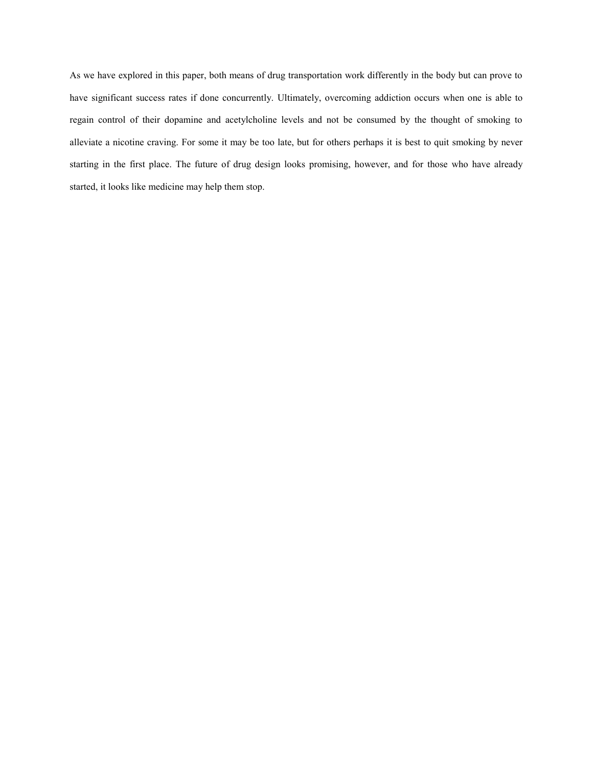As we have explored in this paper, both means of drug transportation work differently in the body but can prove to have significant success rates if done concurrently. Ultimately, overcoming addiction occurs when one is able to regain control of their dopamine and acetylcholine levels and not be consumed by the thought of smoking to alleviate a nicotine craving. For some it may be too late, but for others perhaps it is best to quit smoking by never starting in the first place. The future of drug design looks promising, however, and for those who have already started, it looks like medicine may help them stop.